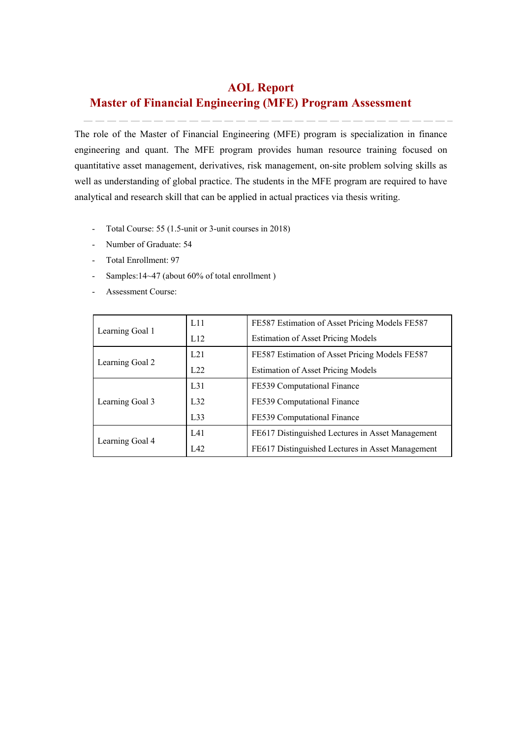# **AOL Report Master of Financial Engineering (MFE) Program Assessment**

The role of the Master of Financial Engineering (MFE) program is specialization in finance engineering and quant. The MFE program provides human resource training focused on quantitative asset management, derivatives, risk management, on-site problem solving skills as well as understanding of global practice. The students in the MFE program are required to have analytical and research skill that can be applied in actual practices via thesis writing.

- Total Course: 55 (1.5-unit or 3-unit courses in 2018)
- Number of Graduate: 54
- Total Enrollment: 97
- Samples:14~47 (about 60% of total enrollment )
- Assessment Course:

|                 | L11      | FE587 Estimation of Asset Pricing Models FE587   |  |  |  |  |
|-----------------|----------|--------------------------------------------------|--|--|--|--|
| Learning Goal 1 | L12      | <b>Estimation of Asset Pricing Models</b>        |  |  |  |  |
|                 | L21      | FE587 Estimation of Asset Pricing Models FE587   |  |  |  |  |
| Learning Goal 2 | L22      | <b>Estimation of Asset Pricing Models</b>        |  |  |  |  |
|                 | $L_{31}$ | FE539 Computational Finance                      |  |  |  |  |
| Learning Goal 3 | L32      | FE539 Computational Finance                      |  |  |  |  |
|                 | L33      | FE539 Computational Finance                      |  |  |  |  |
|                 | L41      | FE617 Distinguished Lectures in Asset Management |  |  |  |  |
| Learning Goal 4 | L42      | FE617 Distinguished Lectures in Asset Management |  |  |  |  |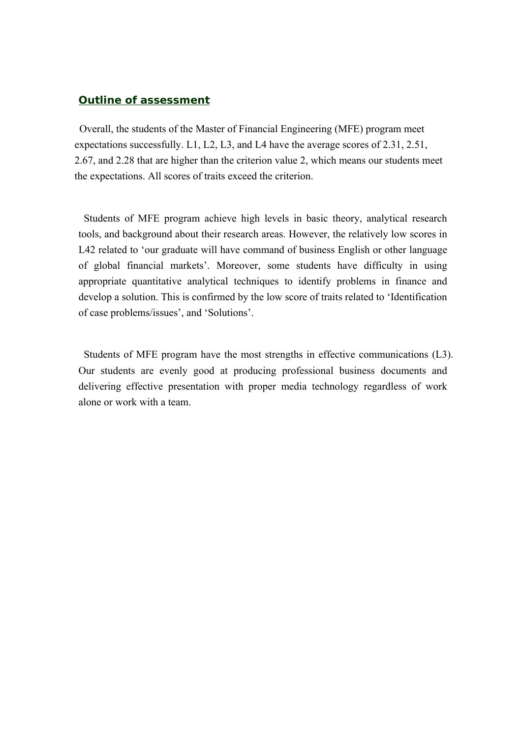# *Outline of assessment*

Overall, the students of the Master of Financial Engineering (MFE) program meet expectations successfully. L1, L2, L3, and L4 have the average scores of 2.31, 2.51, 2.67, and 2.28 that are higher than the criterion value 2, which means our students meet the expectations. All scores of traits exceed the criterion.

 Students of MFE program achieve high levels in basic theory, analytical research tools, and background about their research areas. However, the relatively low scores in L42 related to 'our graduate will have command of business English or other language of global financial markets'. Moreover, some students have difficulty in using appropriate quantitative analytical techniques to identify problems in finance and develop a solution. This is confirmed by the low score of traits related to 'Identification of case problems/issues', and 'Solutions'.

Students of MFE program have the most strengths in effective communications (L3). Our students are evenly good at producing professional business documents and delivering effective presentation with proper media technology regardless of work alone or work with a team.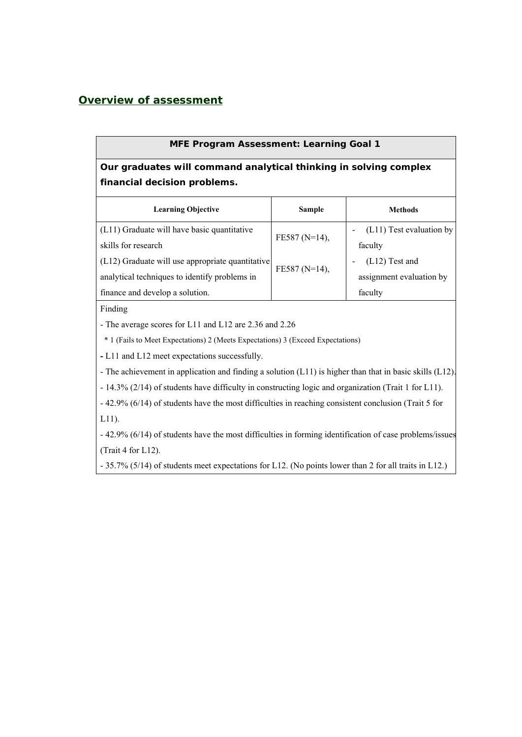# *Overview of assessment*

| <b>MFE Program Assessment: Learning Goal 1</b>                                             |               |                          |  |  |  |  |  |  |  |
|--------------------------------------------------------------------------------------------|---------------|--------------------------|--|--|--|--|--|--|--|
| Our graduates will command analytical thinking in solving complex                          |               |                          |  |  |  |  |  |  |  |
| financial decision problems.                                                               |               |                          |  |  |  |  |  |  |  |
| <b>Learning Objective</b>                                                                  | Sample        | <b>Methods</b>           |  |  |  |  |  |  |  |
| (L11) Graduate will have basic quantitative                                                |               | (L11) Test evaluation by |  |  |  |  |  |  |  |
| skills for research                                                                        | FE587 (N=14), | faculty                  |  |  |  |  |  |  |  |
| (L12) Graduate will use appropriate quantitative                                           |               | $(L12)$ Test and         |  |  |  |  |  |  |  |
| analytical techniques to identify problems in                                              | FE587 (N=14), | assignment evaluation by |  |  |  |  |  |  |  |
| finance and develop a solution.                                                            |               | faculty                  |  |  |  |  |  |  |  |
| Finding                                                                                    |               |                          |  |  |  |  |  |  |  |
| - The average scores for L11 and L12 are 2.36 and 2.26                                     |               |                          |  |  |  |  |  |  |  |
| <sup>*</sup> 1 (Fails to Meet Expectations) 2 (Meets Expectations) 3 (Exceed Expectations) |               |                          |  |  |  |  |  |  |  |
| - L11 and L12 meet expectations successfully.                                              |               |                          |  |  |  |  |  |  |  |

- The achievement in application and finding a solution (L11) is higher than that in basic skills (L12).

- 14.3% (2/14) of students have difficulty in constructing logic and organization (Trait 1 for L11).

- 42.9% (6/14) of students have the most difficulties in reaching consistent conclusion (Trait 5 for L11).

- 42.9% (6/14) of students have the most difficulties in forming identification of case problems/issues (Trait 4 for L12).

- 35.7% (5/14) of students meet expectations for L12. (No points lower than 2 for all traits in L12.)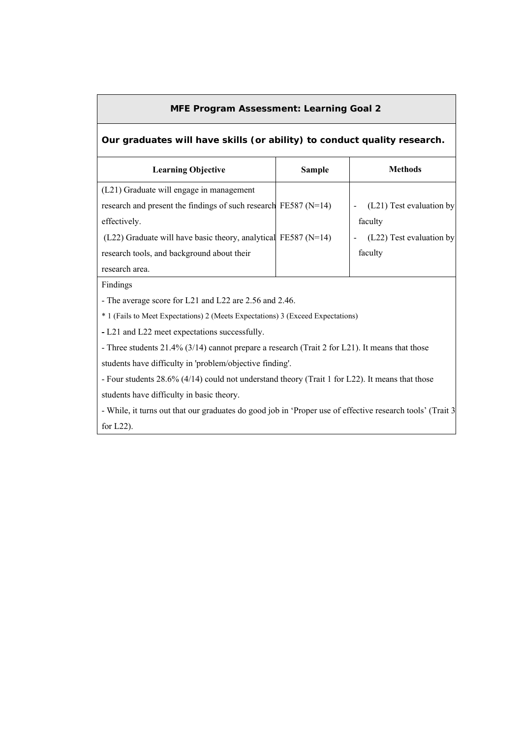## **MFE Program Assessment: Learning Goal 2**

### **Our graduates will have skills (or ability) to conduct quality research.**

| <b>Learning Objective</b>                                           | Sample | <b>Methods</b>             |
|---------------------------------------------------------------------|--------|----------------------------|
| (L21) Graduate will engage in management                            |        |                            |
| research and present the findings of such research FE587 ( $N=14$ ) |        | $(L21)$ Test evaluation by |
| effectively.                                                        |        | faculty                    |
| $(L22)$ Graduate will have basic theory, analytical FE587 (N=14)    |        | (L22) Test evaluation by   |
| research tools, and background about their                          |        | faculty                    |
| research area.                                                      |        |                            |

Findings

- The average score for L21 and L22 are 2.56 and 2.46.

\* 1 (Fails to Meet Expectations) 2 (Meets Expectations) 3 (Exceed Expectations)

**-** L21 and L22 meet expectations successfully.

- Three students 21.4% (3/14) cannot prepare a research (Trait 2 for L21). It means that those students have difficulty in 'problem/objective finding'.

- Four students 28.6% (4/14) could not understand theory (Trait 1 for L22). It means that those students have difficulty in basic theory.

- While, it turns out that our graduates do good job in 'Proper use of effective research tools' (Trait 3 for L22).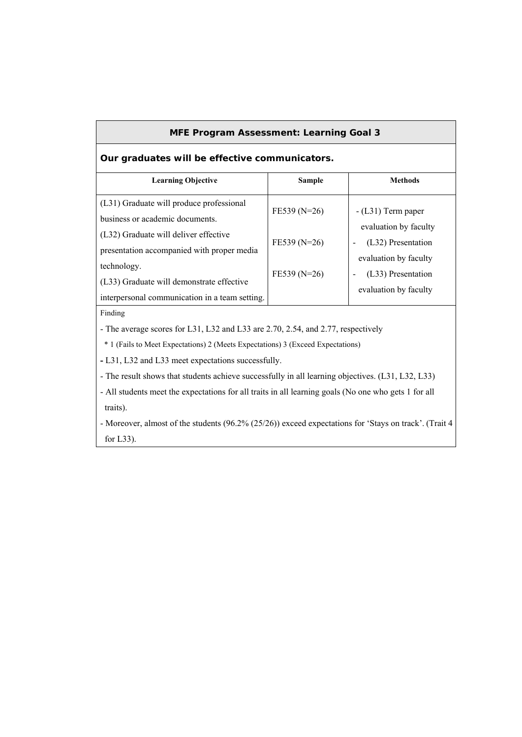#### **MFE Program Assessment: Learning Goal 3**

#### **Our graduates will be effective communicators.**

| <b>Learning Objective</b>                                                                                  | Sample           | <b>Methods</b>                               |
|------------------------------------------------------------------------------------------------------------|------------------|----------------------------------------------|
| (L31) Graduate will produce professional<br>husiness or academic documents                                 | FE539 ( $N=26$ ) | $-L31$ ) Term paper<br>evaluation by faculty |
| (L32) Graduate will deliver effective<br>presentation accompanied with proper media                        | FE539 ( $N=26$ ) | (L32) Presentation<br>evaluation by faculty  |
| technology.<br>(L33) Graduate will demonstrate effective<br>interpersonal communication in a team setting. | FE539 ( $N=26$ ) | (L33) Presentation<br>evaluation by faculty  |

Finding

- The average scores for L31, L32 and L33 are 2.70, 2.54, and 2.77, respectively

\* 1 (Fails to Meet Expectations) 2 (Meets Expectations) 3 (Exceed Expectations)

**-** L31, L32 and L33 meet expectations successfully.

- The result shows that students achieve successfully in all learning objectives. (L31, L32, L33)

- All students meet the expectations for all traits in all learning goals (No one who gets 1 for all traits).

- Moreover, almost of the students (96.2% (25/26)) exceed expectations for 'Stays on track'. (Trait 4 for L33).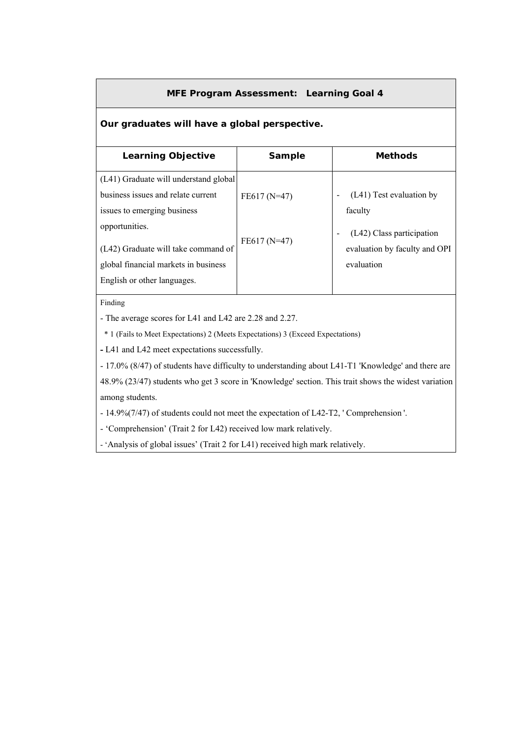### **MFE Program Assessment: Learning Goal 4**

#### **Our graduates will have a global perspective.**

| <b>Learning Objective</b>             | <b>Sample</b> | <b>Methods</b>                |  |  |  |  |
|---------------------------------------|---------------|-------------------------------|--|--|--|--|
| (L41) Graduate will understand global |               |                               |  |  |  |  |
| business issues and relate current    | FE617 (N=47)  | (L41) Test evaluation by      |  |  |  |  |
| issues to emerging business           |               | faculty                       |  |  |  |  |
| opportunities.                        |               | (L42) Class participation     |  |  |  |  |
| (L42) Graduate will take command of   | $FE617(N=47)$ | evaluation by faculty and OPI |  |  |  |  |
| global financial markets in business  |               | evaluation                    |  |  |  |  |
| English or other languages.           |               |                               |  |  |  |  |
|                                       |               |                               |  |  |  |  |

Finding

- The average scores for L41 and L42 are 2.28 and 2.27.

\* 1 (Fails to Meet Expectations) 2 (Meets Expectations) 3 (Exceed Expectations)

**-** L41 and L42 meet expectations successfully.

- 17.0% (8/47) of students have difficulty to understanding about L41-T1 'Knowledge' and there are

48.9% (23/47) students who get 3 score in 'Knowledge' section. This trait shows the widest variation among students.

- 14.9%(7/47) of students could not meet the expectation of L42-T2, ' Comprehension '.

- 'Comprehension' (Trait 2 for L42) received low mark relatively.

- 'Analysis of global issues' (Trait 2 for L41) received high mark relatively.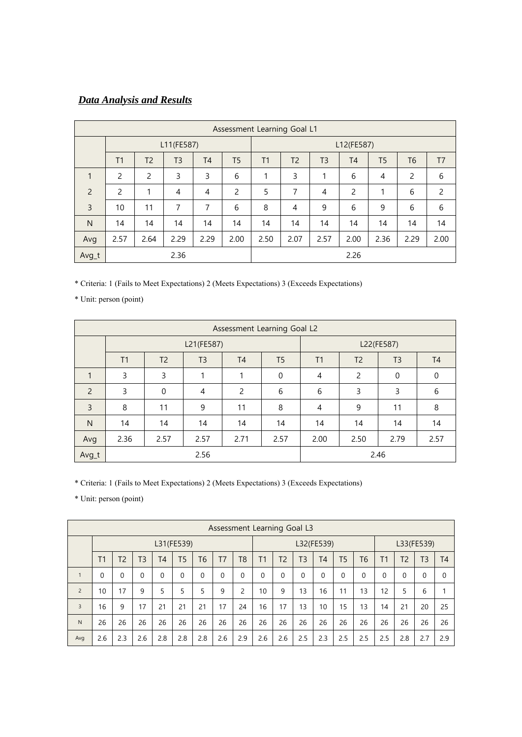# *Data Analysis and Results*

|                | Assessment Learning Goal L1 |                |      |                |                |      |                |                |                |                |                |                |
|----------------|-----------------------------|----------------|------|----------------|----------------|------|----------------|----------------|----------------|----------------|----------------|----------------|
|                | L11(FE587)                  |                |      |                |                |      | L12(FE587)     |                |                |                |                |                |
|                | T1                          | T <sub>2</sub> | T3   | T <sub>4</sub> | T <sub>5</sub> | T1   | T <sub>2</sub> | T <sub>3</sub> | T <sub>4</sub> | T <sub>5</sub> | T <sub>6</sub> | T <sub>7</sub> |
| $\mathbf{1}$   | 2                           | 2              | 3    | 3              | 6              | 1    | 3              | 1              | 6              | 4              | $\overline{c}$ | 6              |
| $\mathcal{P}$  | $\mathfrak{p}$              | 1              | 4    | $\overline{4}$ | 2              | 5    | 7              | 4              | 2              | 1              | 6              | 2              |
| $\overline{3}$ | 10                          | 11             | 7    | 7              | 6              | 8    | 4              | 9              | 6              | 9              | 6              | 6              |
| $\mathsf{N}$   | 14                          | 14             | 14   | 14             | 14             | 14   | 14             | 14             | 14             | 14             | 14             | 14             |
| Avg            | 2.57                        | 2.64           | 2.29 | 2.29           | 2.00           | 2.50 | 2.07           | 2.57           | 2.00           | 2.36           | 2.29           | 2.00           |
| Avg_t          | 2.36                        |                |      |                |                | 2.26 |                |                |                |                |                |                |

\* Criteria: 1 (Fails to Meet Expectations) 2 (Meets Expectations) 3 (Exceeds Expectations)

\* Unit: person (point)

|                | Assessment Learning Goal L2 |                |                |                                  |              |                |                |                |                |  |  |  |
|----------------|-----------------------------|----------------|----------------|----------------------------------|--------------|----------------|----------------|----------------|----------------|--|--|--|
|                |                             |                | L21(FE587)     |                                  | L22(FE587)   |                |                |                |                |  |  |  |
|                | T1                          | T <sub>2</sub> | T <sub>3</sub> | T <sub>4</sub><br>T <sub>5</sub> |              |                | T <sub>2</sub> | T <sub>3</sub> | T <sub>4</sub> |  |  |  |
|                | 3                           | 3              | 1              | 1                                | $\mathbf{0}$ | $\overline{4}$ | 2              | $\Omega$       | $\Omega$       |  |  |  |
| $\overline{2}$ | 3                           | $\mathbf 0$    | 4              | 2                                | 6            | 6              | 3              | 3              | 6              |  |  |  |
| 3              | 8                           | 11             | 9              | 11                               | 8            | $\overline{4}$ | 9              | 11             | 8              |  |  |  |
| $\mathsf{N}$   | 14                          | 14             | 14             | 14                               | 14           | 14             | 14             | 14             | 14             |  |  |  |
| Avg            | 2.36                        | 2.57           | 2.57           | 2.71                             | 2.57         | 2.00           | 2.50           | 2.79           | 2.57           |  |  |  |
| Avg_t          |                             |                | 2.56           |                                  |              | 2.46           |                |                |                |  |  |  |

\* Criteria: 1 (Fails to Meet Expectations) 2 (Meets Expectations) 3 (Exceeds Expectations)

\* Unit: person (point)

|                          | Assessment Learning Goal L3 |                |                |                |                |                |                |                |                |                |                |                |                |                |          |                |                |                |
|--------------------------|-----------------------------|----------------|----------------|----------------|----------------|----------------|----------------|----------------|----------------|----------------|----------------|----------------|----------------|----------------|----------|----------------|----------------|----------------|
|                          | L31(FE539)                  |                |                |                |                |                |                |                | L32(FE539)     |                |                |                |                | L33(FE539)     |          |                |                |                |
|                          | T1                          | T <sub>2</sub> | T <sub>3</sub> | T <sub>4</sub> | T <sub>5</sub> | T <sub>6</sub> | T <sub>7</sub> | T <sub>8</sub> | T <sub>1</sub> | T <sub>2</sub> | T <sub>3</sub> | T <sub>4</sub> | T <sub>5</sub> | T <sub>6</sub> | T1       | T <sub>2</sub> | T <sub>3</sub> | T <sub>4</sub> |
| $\mathbf{1}$             | $\Omega$                    | $\Omega$       | $\Omega$       | $\Omega$       | $\Omega$       | $\Omega$       | $\Omega$       | $\Omega$       | $\Omega$       | $\Omega$       | 0              | $\Omega$       | $\Omega$       | $\Omega$       | $\Omega$ | $\Omega$       | 0              | 0              |
| $\overline{\phantom{0}}$ | 10                          | 17             | 9              | 5              | 5              | 5              | 9              | $\overline{c}$ | 10             | 9              | 13             | 16             | 11             | 13             | 12       | 5              | 6              |                |
| $\overline{3}$           | 16                          | 9              | 17             | 21             | 21             | 21             | 17             | 24             | 16             | 17             | 13             | 10             | 15             | 13             | 14       | 21             | 20             | 25             |
| $\mathsf{N}$             | 26                          | 26             | 26             | 26             | 26             | 26             | 26             | 26             | 26             | 26             | 26             | 26             | 26             | 26             | 26       | 26             | 26             | 26             |
| Avg                      | 2.6                         | 2.3            | 2.6            | 2.8            | 2.8            | 2.8            | 2.6            | 2.9            | 2.6            | 2.6            | 2.5            | 2.3            | 2.5            | 2.5            | 2.5      | 2.8            | 2.7            | 2.9            |